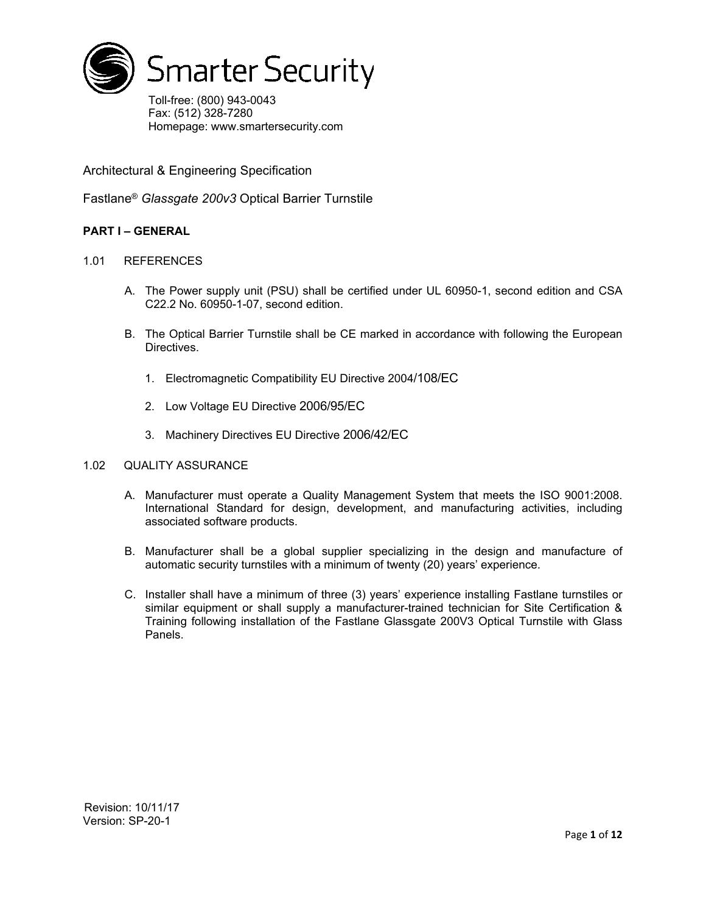

Toll-free: (800) 943-0043 Fax: (512) 328-7280 Homepage: www.smartersecurity.com

Architectural & Engineering Specification

Fastlane® *Glassgate 200v3* Optical Barrier Turnstile

# **PART I – GENERAL**

## 1.01 REFERENCES

- A. The Power supply unit (PSU) shall be certified under UL 60950-1, second edition and CSA C22.2 No. 60950-1-07, second edition.
- B. The Optical Barrier Turnstile shall be CE marked in accordance with following the European Directives.
	- 1. Electromagnetic Compatibility EU Directive 2004/108/EC
	- 2. Low Voltage EU Directive 2006/95/EC
	- 3. Machinery Directives EU Directive 2006/42/EC

## 1.02 QUALITY ASSURANCE

- A. Manufacturer must operate a Quality Management System that meets the ISO 9001:2008. International Standard for design, development, and manufacturing activities, including associated software products.
- B. Manufacturer shall be a global supplier specializing in the design and manufacture of automatic security turnstiles with a minimum of twenty (20) years' experience.
- C. Installer shall have a minimum of three (3) years' experience installing Fastlane turnstiles or similar equipment or shall supply a manufacturer-trained technician for Site Certification & Training following installation of the Fastlane Glassgate 200V3 Optical Turnstile with Glass Panels.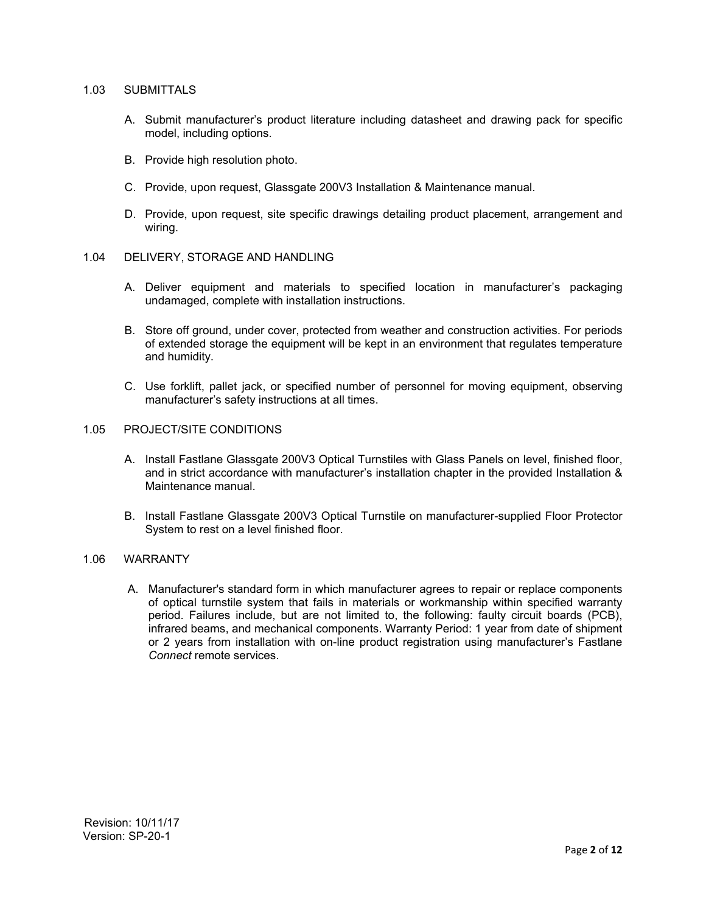## 1.03 SUBMITTALS

- A. Submit manufacturer's product literature including datasheet and drawing pack for specific model, including options.
- B. Provide high resolution photo.
- C. Provide, upon request, Glassgate 200V3 Installation & Maintenance manual.
- D. Provide, upon request, site specific drawings detailing product placement, arrangement and wiring.

## 1.04 DELIVERY, STORAGE AND HANDLING

- A. Deliver equipment and materials to specified location in manufacturer's packaging undamaged, complete with installation instructions.
- B. Store off ground, under cover, protected from weather and construction activities. For periods of extended storage the equipment will be kept in an environment that regulates temperature and humidity.
- C. Use forklift, pallet jack, or specified number of personnel for moving equipment, observing manufacturer's safety instructions at all times.

### 1.05 PROJECT/SITE CONDITIONS

- A. Install Fastlane Glassgate 200V3 Optical Turnstiles with Glass Panels on level, finished floor, and in strict accordance with manufacturer's installation chapter in the provided Installation & Maintenance manual.
- B. Install Fastlane Glassgate 200V3 Optical Turnstile on manufacturer-supplied Floor Protector System to rest on a level finished floor.

# 1.06 WARRANTY

A. Manufacturer's standard form in which manufacturer agrees to repair or replace components of optical turnstile system that fails in materials or workmanship within specified warranty period. Failures include, but are not limited to, the following: faulty circuit boards (PCB), infrared beams, and mechanical components. Warranty Period: 1 year from date of shipment or 2 years from installation with on-line product registration using manufacturer's Fastlane *Connect* remote services.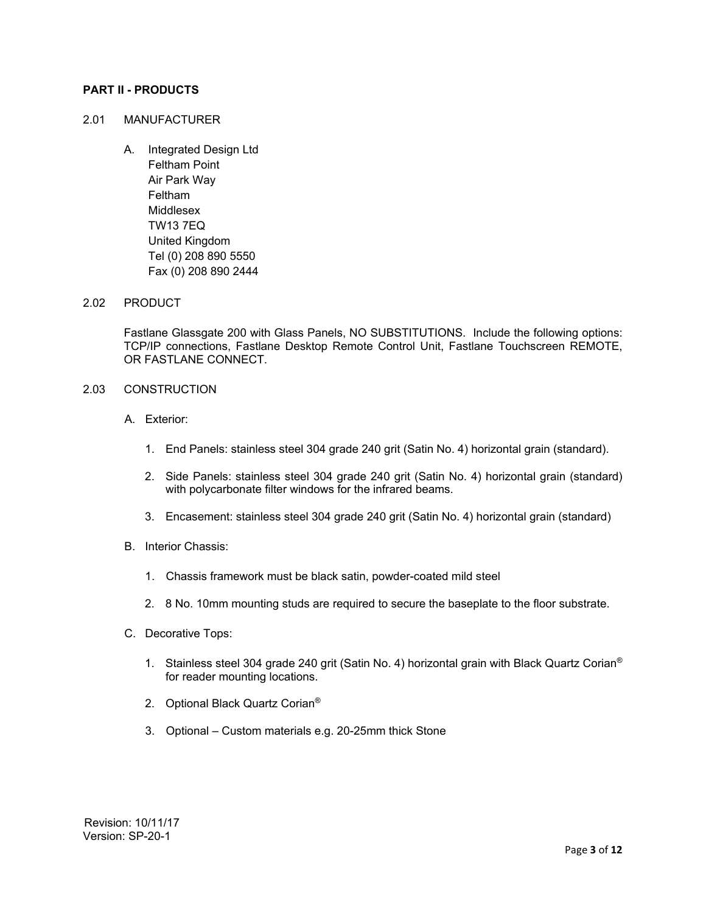## **PART II - PRODUCTS**

### 2.01 MANUFACTURER

A. Integrated Design Ltd Feltham Point Air Park Way Feltham Middlesex TW13 7EQ United Kingdom Tel (0) 208 890 5550 Fax (0) 208 890 2444

### 2.02 PRODUCT

Fastlane Glassgate 200 with Glass Panels, NO SUBSTITUTIONS. Include the following options: TCP/IP connections, Fastlane Desktop Remote Control Unit, Fastlane Touchscreen REMOTE, OR FASTLANE CONNECT.

# 2.03 CONSTRUCTION

- A. Exterior:
	- 1. End Panels: stainless steel 304 grade 240 grit (Satin No. 4) horizontal grain (standard).
	- 2. Side Panels: stainless steel 304 grade 240 grit (Satin No. 4) horizontal grain (standard) with polycarbonate filter windows for the infrared beams.
	- 3. Encasement: stainless steel 304 grade 240 grit (Satin No. 4) horizontal grain (standard)
- B. Interior Chassis:
	- 1. Chassis framework must be black satin, powder-coated mild steel
	- 2. 8 No. 10mm mounting studs are required to secure the baseplate to the floor substrate.
- C. Decorative Tops:
	- 1. Stainless steel 304 grade 240 grit (Satin No. 4) horizontal grain with Black Quartz Corian® for reader mounting locations.
	- 2. Optional Black Quartz Corian®
	- 3. Optional Custom materials e.g. 20-25mm thick Stone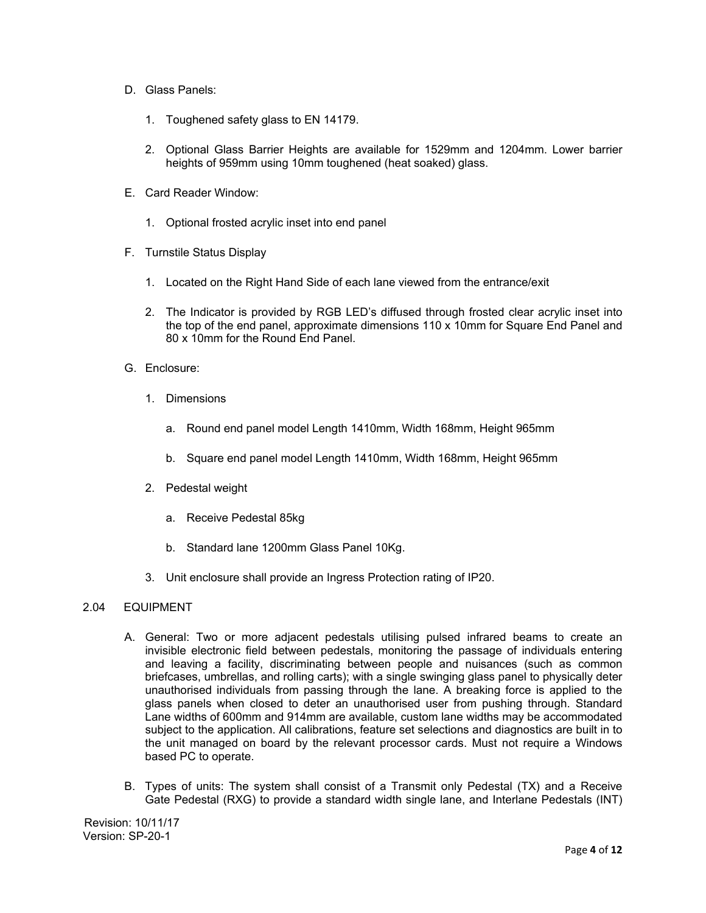- D. Glass Panels:
	- 1. Toughened safety glass to EN 14179.
	- 2. Optional Glass Barrier Heights are available for 1529mm and 1204mm. Lower barrier heights of 959mm using 10mm toughened (heat soaked) glass.
- E. Card Reader Window:
	- 1. Optional frosted acrylic inset into end panel
- F. Turnstile Status Display
	- 1. Located on the Right Hand Side of each lane viewed from the entrance/exit
	- 2. The Indicator is provided by RGB LED's diffused through frosted clear acrylic inset into the top of the end panel, approximate dimensions 110 x 10mm for Square End Panel and 80 x 10mm for the Round End Panel.
- G. Enclosure:
	- 1. Dimensions
		- a. Round end panel model Length 1410mm, Width 168mm, Height 965mm
		- b. Square end panel model Length 1410mm, Width 168mm, Height 965mm
	- 2. Pedestal weight
		- a. Receive Pedestal 85kg
		- b. Standard lane 1200mm Glass Panel 10Kg.
	- 3. Unit enclosure shall provide an Ingress Protection rating of IP20.

## 2.04 EQUIPMENT

- A. General: Two or more adjacent pedestals utilising pulsed infrared beams to create an invisible electronic field between pedestals, monitoring the passage of individuals entering and leaving a facility, discriminating between people and nuisances (such as common briefcases, umbrellas, and rolling carts); with a single swinging glass panel to physically deter unauthorised individuals from passing through the lane. A breaking force is applied to the glass panels when closed to deter an unauthorised user from pushing through. Standard Lane widths of 600mm and 914mm are available, custom lane widths may be accommodated subject to the application. All calibrations, feature set selections and diagnostics are built in to the unit managed on board by the relevant processor cards. Must not require a Windows based PC to operate.
- B. Types of units: The system shall consist of a Transmit only Pedestal (TX) and a Receive Gate Pedestal (RXG) to provide a standard width single lane, and Interlane Pedestals (INT)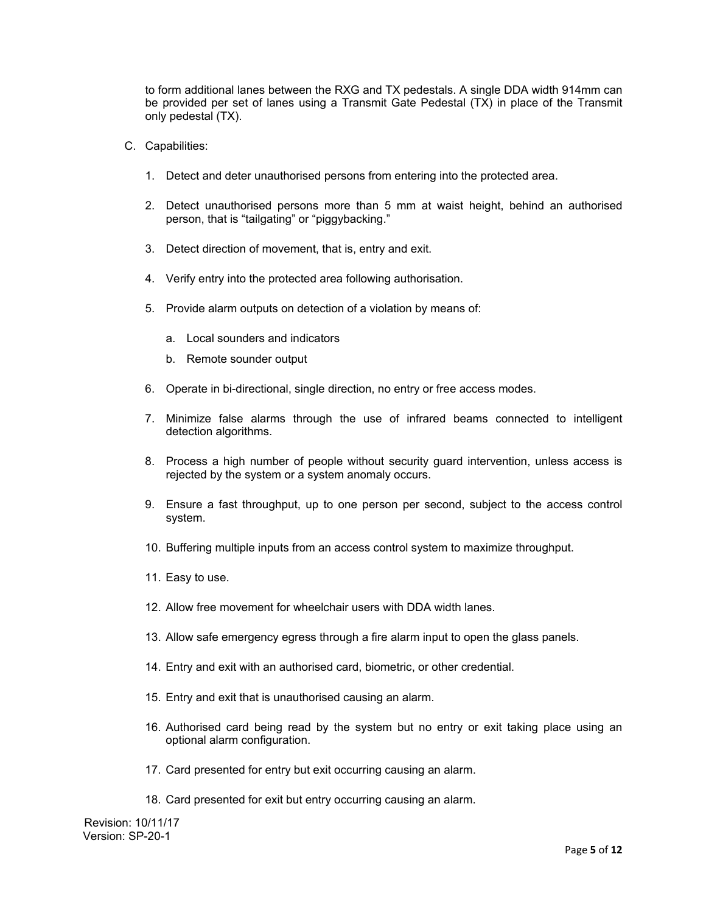to form additional lanes between the RXG and TX pedestals. A single DDA width 914mm can be provided per set of lanes using a Transmit Gate Pedestal (TX) in place of the Transmit only pedestal (TX).

- C. Capabilities:
	- 1. Detect and deter unauthorised persons from entering into the protected area.
	- 2. Detect unauthorised persons more than 5 mm at waist height, behind an authorised person, that is "tailgating" or "piggybacking."
	- 3. Detect direction of movement, that is, entry and exit.
	- 4. Verify entry into the protected area following authorisation.
	- 5. Provide alarm outputs on detection of a violation by means of:
		- a. Local sounders and indicators
		- b. Remote sounder output
	- 6. Operate in bi-directional, single direction, no entry or free access modes.
	- 7. Minimize false alarms through the use of infrared beams connected to intelligent detection algorithms.
	- 8. Process a high number of people without security guard intervention, unless access is rejected by the system or a system anomaly occurs.
	- 9. Ensure a fast throughput, up to one person per second, subject to the access control system.
	- 10. Buffering multiple inputs from an access control system to maximize throughput.
	- 11. Easy to use.
	- 12. Allow free movement for wheelchair users with DDA width lanes.
	- 13. Allow safe emergency egress through a fire alarm input to open the glass panels.
	- 14. Entry and exit with an authorised card, biometric, or other credential.
	- 15. Entry and exit that is unauthorised causing an alarm.
	- 16. Authorised card being read by the system but no entry or exit taking place using an optional alarm configuration.
	- 17. Card presented for entry but exit occurring causing an alarm.
	- 18. Card presented for exit but entry occurring causing an alarm.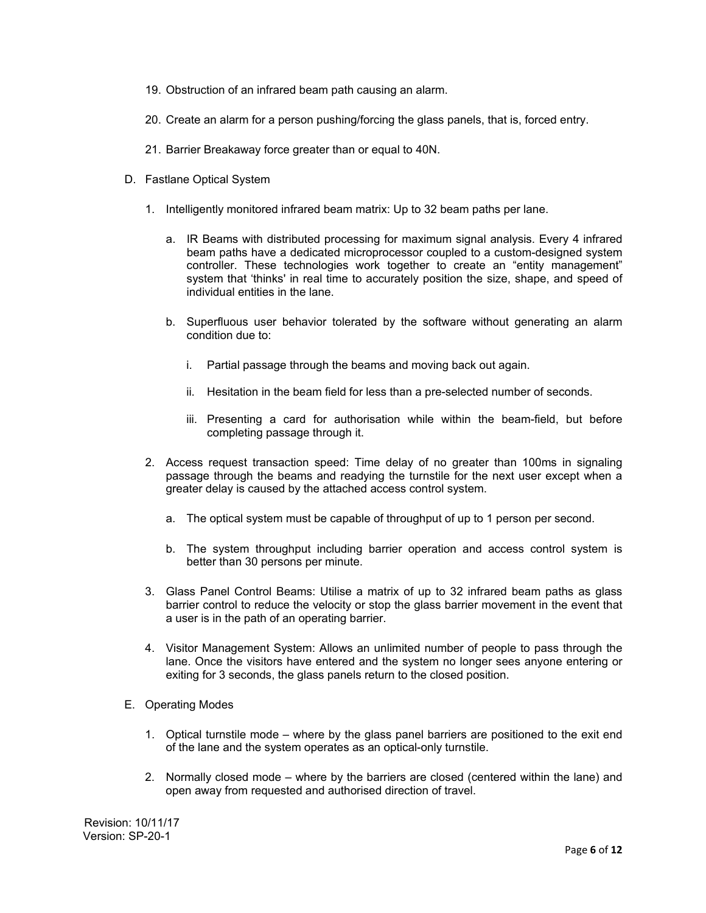- 19. Obstruction of an infrared beam path causing an alarm.
- 20. Create an alarm for a person pushing/forcing the glass panels, that is, forced entry.
- 21. Barrier Breakaway force greater than or equal to 40N.
- D. Fastlane Optical System
	- 1. Intelligently monitored infrared beam matrix: Up to 32 beam paths per lane.
		- a. IR Beams with distributed processing for maximum signal analysis. Every 4 infrared beam paths have a dedicated microprocessor coupled to a custom-designed system controller. These technologies work together to create an "entity management" system that 'thinks' in real time to accurately position the size, shape, and speed of individual entities in the lane.
		- b. Superfluous user behavior tolerated by the software without generating an alarm condition due to:
			- i. Partial passage through the beams and moving back out again.
			- ii. Hesitation in the beam field for less than a pre-selected number of seconds.
			- iii. Presenting a card for authorisation while within the beam-field, but before completing passage through it.
	- 2. Access request transaction speed: Time delay of no greater than 100ms in signaling passage through the beams and readying the turnstile for the next user except when a greater delay is caused by the attached access control system.
		- a. The optical system must be capable of throughput of up to 1 person per second.
		- b. The system throughput including barrier operation and access control system is better than 30 persons per minute.
	- 3. Glass Panel Control Beams: Utilise a matrix of up to 32 infrared beam paths as glass barrier control to reduce the velocity or stop the glass barrier movement in the event that a user is in the path of an operating barrier.
	- 4. Visitor Management System: Allows an unlimited number of people to pass through the lane. Once the visitors have entered and the system no longer sees anyone entering or exiting for 3 seconds, the glass panels return to the closed position.
- E. Operating Modes
	- 1. Optical turnstile mode where by the glass panel barriers are positioned to the exit end of the lane and the system operates as an optical-only turnstile.
	- 2. Normally closed mode where by the barriers are closed (centered within the lane) and open away from requested and authorised direction of travel.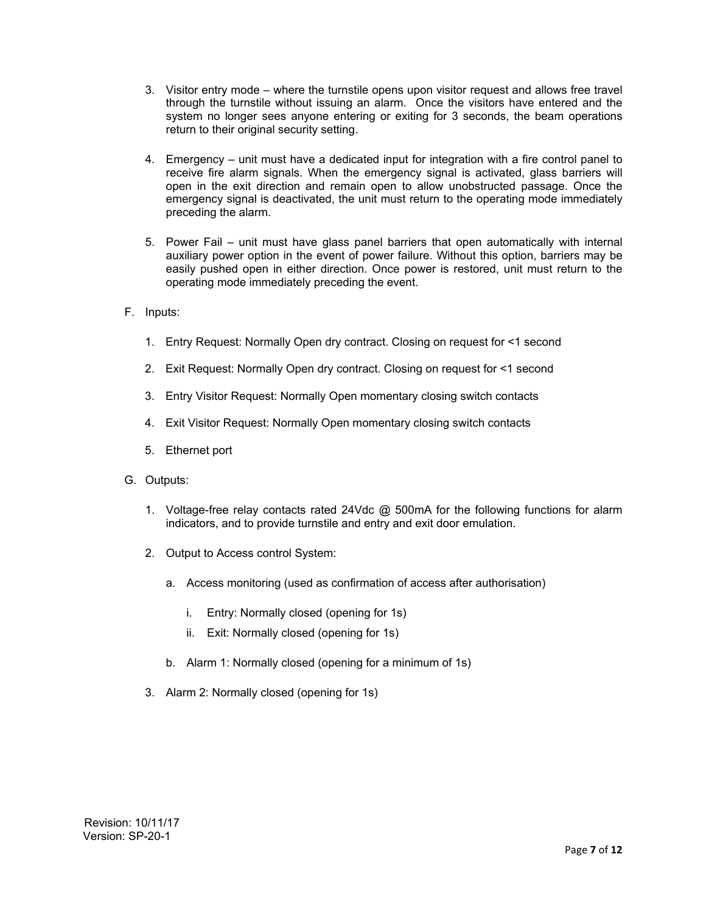- 3. Visitor entry mode where the turnstile opens upon visitor request and allows free travel through the turnstile without issuing an alarm. Once the visitors have entered and the system no longer sees anyone entering or exiting for 3 seconds, the beam operations return to their original security setting.
- 4. Emergency unit must have a dedicated input for integration with a fire control panel to receive fire alarm signals. When the emergency signal is activated, glass barriers will open in the exit direction and remain open to allow unobstructed passage. Once the emergency signal is deactivated, the unit must return to the operating mode immediately preceding the alarm.
- 5. Power Fail unit must have glass panel barriers that open automatically with internal auxiliary power option in the event of power failure. Without this option, barriers may be easily pushed open in either direction. Once power is restored, unit must return to the operating mode immediately preceding the event.
- F. Inputs:
	- 1. Entry Request: Normally Open dry contract. Closing on request for <1 second
	- 2. Exit Request: Normally Open dry contract. Closing on request for <1 second
	- 3. Entry Visitor Request: Normally Open momentary closing switch contacts
	- 4. Exit Visitor Request: Normally Open momentary closing switch contacts
	- 5. Ethernet port
- G. Outputs:
	- 1. Voltage-free relay contacts rated 24Vdc @ 500mA for the following functions for alarm indicators, and to provide turnstile and entry and exit door emulation.
	- 2. Output to Access control System:
		- a. Access monitoring (used as confirmation of access after authorisation)
			- i. Entry: Normally closed (opening for 1s)
			- ii. Exit: Normally closed (opening for 1s)
		- b. Alarm 1: Normally closed (opening for a minimum of 1s)
	- 3. Alarm 2: Normally closed (opening for 1s)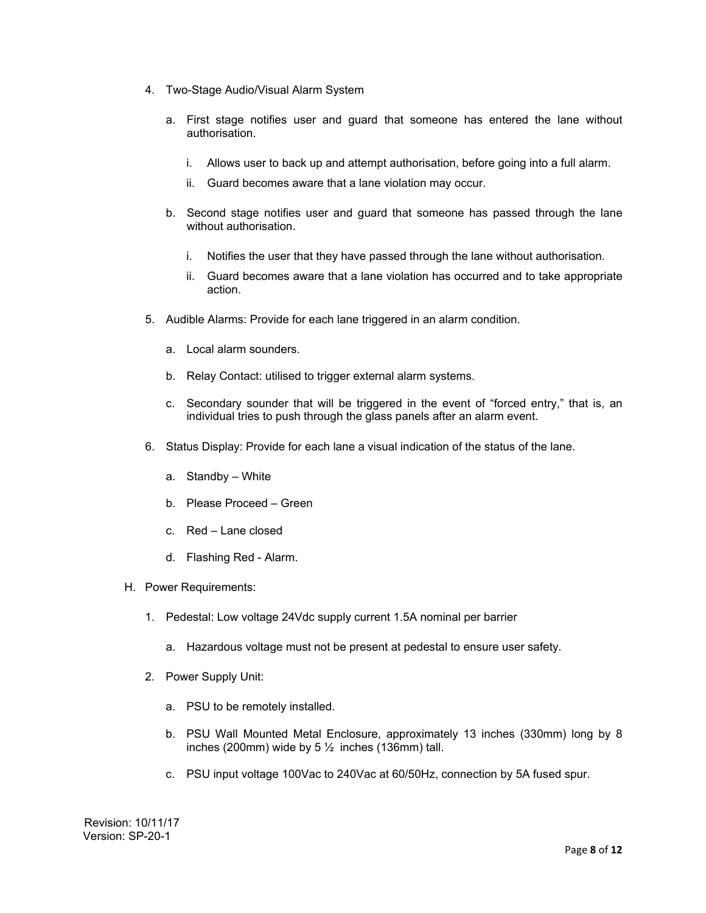- 4. Two-Stage Audio/Visual Alarm System
	- a. First stage notifies user and guard that someone has entered the lane without authorisation.
		- i. Allows user to back up and attempt authorisation, before going into a full alarm.
		- ii. Guard becomes aware that a lane violation may occur.
	- b. Second stage notifies user and guard that someone has passed through the lane without authorisation.
		- i. Notifies the user that they have passed through the lane without authorisation.
		- ii. Guard becomes aware that a lane violation has occurred and to take appropriate action.
- 5. Audible Alarms: Provide for each lane triggered in an alarm condition.
	- a. Local alarm sounders.
	- b. Relay Contact: utilised to trigger external alarm systems.
	- c. Secondary sounder that will be triggered in the event of "forced entry," that is, an individual tries to push through the glass panels after an alarm event.
- 6. Status Display: Provide for each lane a visual indication of the status of the lane.
	- a. Standby White
	- b. Please Proceed Green
	- c. Red Lane closed
	- d. Flashing Red Alarm.
- H. Power Requirements:
	- 1. Pedestal: Low voltage 24Vdc supply current 1.5A nominal per barrier
		- a. Hazardous voltage must not be present at pedestal to ensure user safety.
	- 2. Power Supply Unit:
		- a. PSU to be remotely installed.
		- b. PSU Wall Mounted Metal Enclosure, approximately 13 inches (330mm) long by 8 inches (200mm) wide by  $5\frac{1}{2}$  inches (136mm) tall.
		- c. PSU input voltage 100Vac to 240Vac at 60/50Hz, connection by 5A fused spur.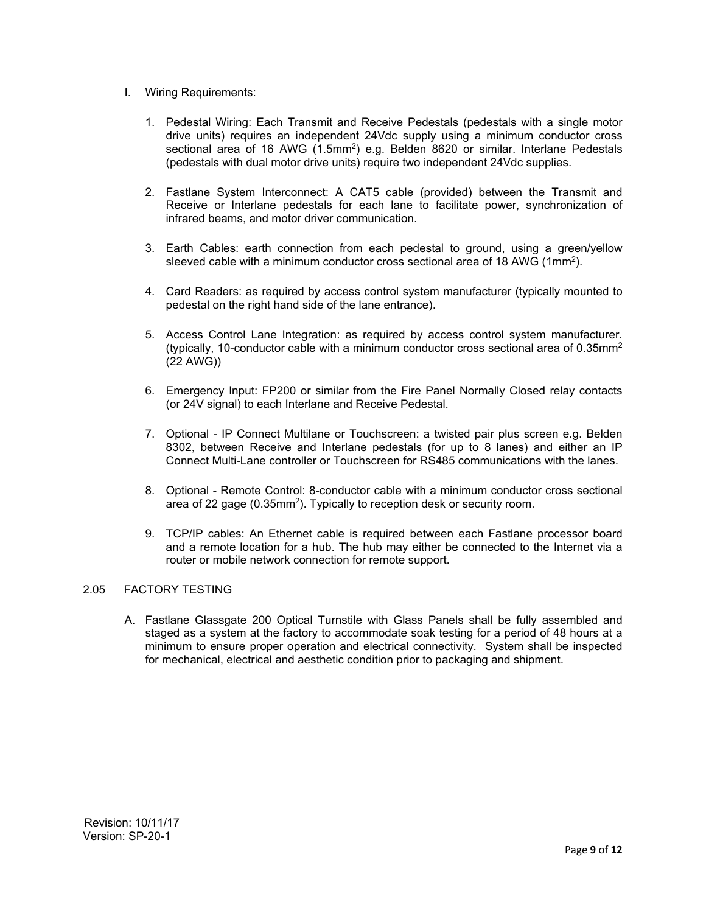- I. Wiring Requirements:
	- 1. Pedestal Wiring: Each Transmit and Receive Pedestals (pedestals with a single motor drive units) requires an independent 24Vdc supply using a minimum conductor cross sectional area of 16 AWG (1.5mm<sup>2</sup>) e.g. Belden 8620 or similar. Interlane Pedestals (pedestals with dual motor drive units) require two independent 24Vdc supplies.
	- 2. Fastlane System Interconnect: A CAT5 cable (provided) between the Transmit and Receive or Interlane pedestals for each lane to facilitate power, synchronization of infrared beams, and motor driver communication.
	- 3. Earth Cables: earth connection from each pedestal to ground, using a green/yellow sleeved cable with a minimum conductor cross sectional area of 18 AWG (1mm2).
	- 4. Card Readers: as required by access control system manufacturer (typically mounted to pedestal on the right hand side of the lane entrance).
	- 5. Access Control Lane Integration: as required by access control system manufacturer. (typically, 10-conductor cable with a minimum conductor cross sectional area of  $0.35$ mm<sup>2</sup> (22 AWG))
	- 6. Emergency Input: FP200 or similar from the Fire Panel Normally Closed relay contacts (or 24V signal) to each Interlane and Receive Pedestal.
	- 7. Optional IP Connect Multilane or Touchscreen: a twisted pair plus screen e.g. Belden 8302, between Receive and Interlane pedestals (for up to 8 lanes) and either an IP Connect Multi-Lane controller or Touchscreen for RS485 communications with the lanes.
	- 8. Optional Remote Control: 8-conductor cable with a minimum conductor cross sectional area of 22 gage (0.35mm<sup>2</sup>). Typically to reception desk or security room.
	- 9. TCP/IP cables: An Ethernet cable is required between each Fastlane processor board and a remote location for a hub. The hub may either be connected to the Internet via a router or mobile network connection for remote support.

# 2.05 FACTORY TESTING

A. Fastlane Glassgate 200 Optical Turnstile with Glass Panels shall be fully assembled and staged as a system at the factory to accommodate soak testing for a period of 48 hours at a minimum to ensure proper operation and electrical connectivity. System shall be inspected for mechanical, electrical and aesthetic condition prior to packaging and shipment.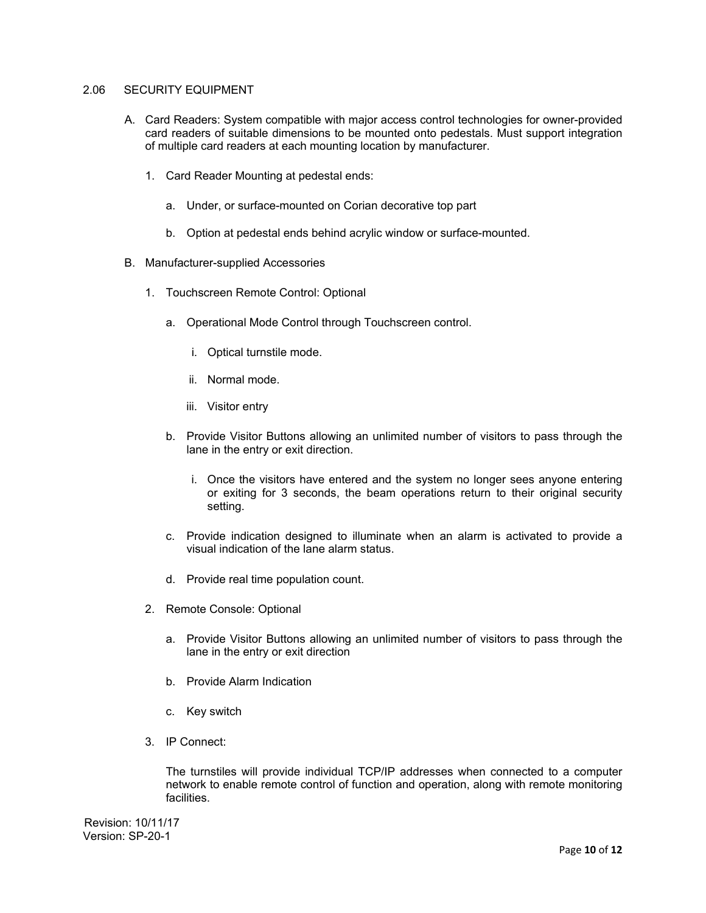## 2.06 SECURITY EQUIPMENT

- A. Card Readers: System compatible with major access control technologies for owner-provided card readers of suitable dimensions to be mounted onto pedestals. Must support integration of multiple card readers at each mounting location by manufacturer.
	- 1. Card Reader Mounting at pedestal ends:
		- a. Under, or surface-mounted on Corian decorative top part
		- b. Option at pedestal ends behind acrylic window or surface-mounted.
- B. Manufacturer-supplied Accessories
	- 1. Touchscreen Remote Control: Optional
		- a. Operational Mode Control through Touchscreen control.
			- i. Optical turnstile mode.
			- ii. Normal mode.
			- iii. Visitor entry
		- b. Provide Visitor Buttons allowing an unlimited number of visitors to pass through the lane in the entry or exit direction.
			- i. Once the visitors have entered and the system no longer sees anyone entering or exiting for 3 seconds, the beam operations return to their original security setting.
		- c. Provide indication designed to illuminate when an alarm is activated to provide a visual indication of the lane alarm status.
		- d. Provide real time population count.
	- 2. Remote Console: Optional
		- a. Provide Visitor Buttons allowing an unlimited number of visitors to pass through the lane in the entry or exit direction
		- b. Provide Alarm Indication
		- c. Key switch
	- 3. IP Connect:

The turnstiles will provide individual TCP/IP addresses when connected to a computer network to enable remote control of function and operation, along with remote monitoring facilities.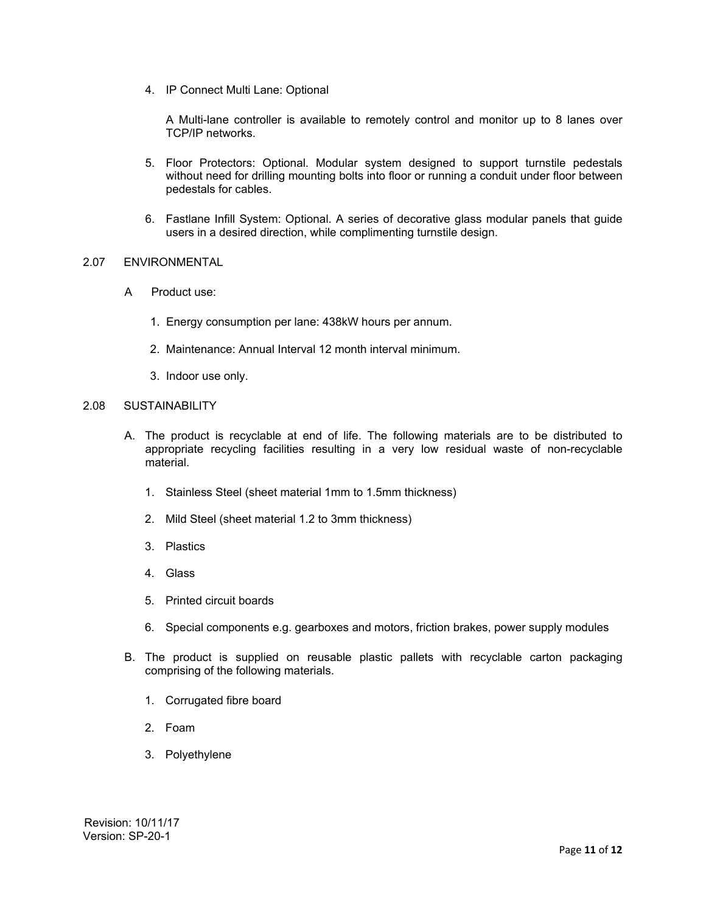4. IP Connect Multi Lane: Optional

A Multi-lane controller is available to remotely control and monitor up to 8 lanes over TCP/IP networks.

- 5. Floor Protectors: Optional. Modular system designed to support turnstile pedestals without need for drilling mounting bolts into floor or running a conduit under floor between pedestals for cables.
- 6. Fastlane Infill System: Optional. A series of decorative glass modular panels that guide users in a desired direction, while complimenting turnstile design.

### 2.07 ENVIRONMENTAL

- A Product use:
	- 1. Energy consumption per lane: 438kW hours per annum.
	- 2. Maintenance: Annual Interval 12 month interval minimum.
	- 3. Indoor use only.

# 2.08 SUSTAINABILITY

- A. The product is recyclable at end of life. The following materials are to be distributed to appropriate recycling facilities resulting in a very low residual waste of non-recyclable material.
	- 1. Stainless Steel (sheet material 1mm to 1.5mm thickness)
	- 2. Mild Steel (sheet material 1.2 to 3mm thickness)
	- 3. Plastics
	- 4. Glass
	- 5. Printed circuit boards
	- 6. Special components e.g. gearboxes and motors, friction brakes, power supply modules
- B. The product is supplied on reusable plastic pallets with recyclable carton packaging comprising of the following materials.
	- 1. Corrugated fibre board
	- 2. Foam
	- 3. Polyethylene